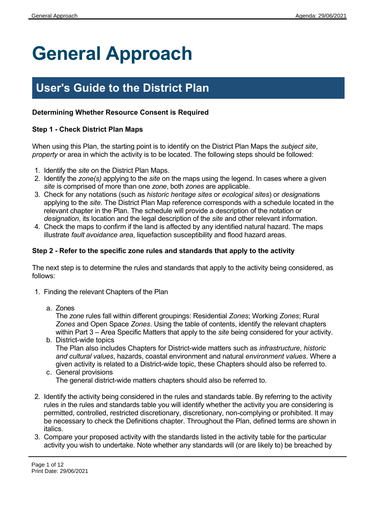# **General Approach**

# **User's Guide to the District Plan**

# **Determining Whether Resource Consent is Required**

## **Step 1 - Check District Plan Maps**

When using this Plan, the starting point is to identify on the District Plan Maps the *subject site*, *property* or area in which the activity is to be located. The following steps should be followed:

- 1. Identify the *site* on the District Plan Maps.
- 2. Identify the *zone(s)* applying to the *site* on the maps using the legend. In cases where a given *site* is comprised of more than one *zone*, both *zones* are applicable.
- 3. Check for any notations (such as *historic heritage sites* or *ecological sites*) or *designation*s applying to the *site*. The District Plan Map reference corresponds with a schedule located in the relevant chapter in the Plan. The schedule will provide a description of the notation or *designation*, its location and the legal description of the *site* and other relevant information.
- 4. Check the maps to confirm if the land is affected by any identified natural hazard. The maps illustrate *fault avoidance area*, liquefaction susceptibility and flood hazard areas.

## **Step 2 - Refer to the specific zone rules and standards that apply to the activity**

The next step is to determine the rules and standards that apply to the activity being considered, as follows:

- 1. Finding the relevant Chapters of the Plan
	- a. Zones

The *zone* rules fall within different groupings: Residential *Zones*; Working *Zones*; Rural *Zones* and Open Space *Zones*. Using the table of contents, identify the relevant chapters within Part 3 – Area Specific Matters that apply to the *site* being considered for your activity.

- b. District-wide topics The Plan also includes Chapters for District-wide matters such as *infrastructure*, *historic and cultural values*, hazards, coastal environment and natural *environment values*. Where a given activity is related to a District-wide topic, these Chapters should also be referred to.
- c. General provisions The general district-wide matters chapters should also be referred to.
- 2. Identify the activity being considered in the rules and standards table. By referring to the activity rules in the rules and standards table you will identify whether the activity you are considering is permitted, controlled, restricted discretionary, discretionary, non-complying or prohibited. It may be necessary to check the Definitions chapter. Throughout the Plan, defined terms are shown in italics.
- 3. Compare your proposed activity with the standards listed in the activity table for the particular activity you wish to undertake. Note whether any standards will (or are likely to) be breached by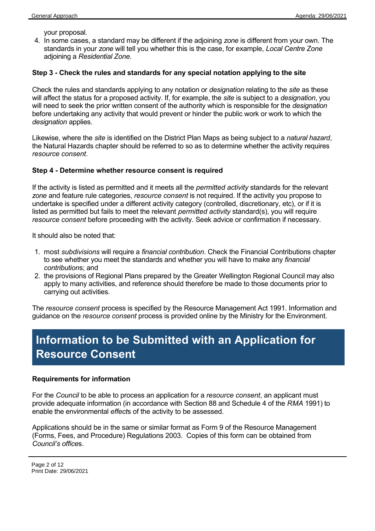your proposal.

4. In some cases, a standard may be different if the adjoining *zone* is different from your own. The standards in your *zone* will tell you whether this is the case, for example, *Local Centre Zone* adjoining a *Residential Zone*.

#### **Step 3 - Check the rules and standards for any special notation applying to the site**

Check the rules and standards applying to any notation or *designation* relating to the *site* as these will affect the status for a proposed activity. If, for example, the *site* is subject to a *designation*, you will need to seek the prior written consent of the authority which is responsible for the *designation* before undertaking any activity that would prevent or hinder the public work or work to which the *designation* applies.

Likewise, where the *site* is identified on the District Plan Maps as being subject to a *natural hazard*, the Natural Hazards chapter should be referred to so as to determine whether the activity requires *resource consent*.

#### **Step 4 - Determine whether resource consent is required**

If the activity is listed as permitted and it meets all the *permitted activity* standards for the relevant *zone* and feature rule categories, *resource consent* is not required. If the activity you propose to undertake is specified under a different activity category (controlled, discretionary, etc), or if it is listed as permitted but fails to meet the relevant *permitted activity* standard(s), you will require *resource consent* before proceeding with the activity. Seek advice or confirmation if necessary.

It should also be noted that:

- 1. most *subdivisions* will require a *financial contribution*. Check the Financial Contributions chapter to see whether you meet the standards and whether you will have to make any *financial contribution*s; and
- 2. the provisions of Regional Plans prepared by the Greater Wellington Regional Council may also apply to many activities, and reference should therefore be made to those documents prior to carrying out activities.

The *resource consent* process is specified by the Resource Management Act 1991. Information and guidance on the *resource consent* process is provided online by the Ministry for the Environment.

# **Information to be Submitted with an Application for Resource Consent**

#### **Requirements for information**

For the *Council* to be able to process an application for a *resource consent*, an applicant must provide adequate information (in accordance with Section 88 and Schedule 4 of the *RMA* 1991) to enable the environmental *effect*s of the activity to be assessed.

Applications should be in the same or similar format as Form 9 of the Resource Management (Forms, Fees, and Procedure) Regulations 2003. Copies of this form can be obtained from *Council's office*s.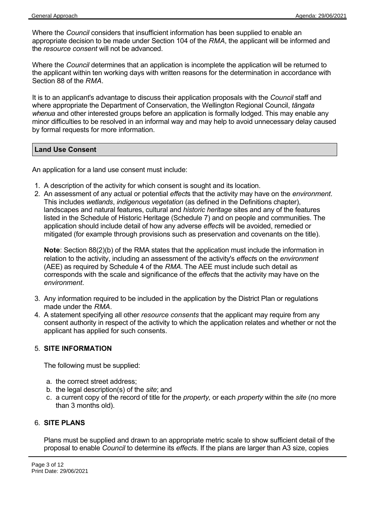Where the *Council* considers that insufficient information has been supplied to enable an appropriate decision to be made under Section 104 of the *RMA*, the applicant will be informed and the *resource consent* will not be advanced.

Where the *Council* determines that an application is incomplete the application will be returned to the applicant within ten working days with written reasons for the determination in accordance with Section 88 of the *RMA*.

It is to an applicant's advantage to discuss their application proposals with the *Council* staff and where appropriate the Department of Conservation, the Wellington Regional Council, *tāngata whenua* and other interested groups before an application is formally lodged. This may enable any minor difficulties to be resolved in an informal way and may help to avoid unnecessary delay caused by formal requests for more information.

#### **Land Use Consent**

An application for a land use consent must include:

- 1. A description of the activity for which consent is sought and its location.
- 2. An assessment of any actual or potential *effect*s that the activity may have on the *environment*. This includes *wetlands*, *indigenous vegetation* (as defined in the Definitions chapter), landscapes and natural features, cultural and *historic heritage* sites and any of the features listed in the Schedule of Historic Heritage (Schedule 7) and on people and communities. The application should include detail of how any adverse *effect*s will be avoided, remedied or mitigated (for example through provisions such as preservation and covenants on the title).

**Note**: Section 88(2)(b) of the RMA states that the application must include the information in relation to the activity, including an assessment of the activity's *effect*s on the *environment* (AEE) as required by Schedule 4 of the *RMA*. The AEE must include such detail as corresponds with the scale and significance of the *effect*s that the activity may have on the *environment*.

- 3. Any information required to be included in the application by the District Plan or regulations made under the *RMA*.
- 4. A statement specifying all other *resource consents* that the applicant may require from any consent authority in respect of the activity to which the application relates and whether or not the applicant has applied for such consents.

## 5. **SITE INFORMATION**

The following must be supplied:

- a. the correct street address;
- b. the legal description(s) of the *site*; and
- c. a current copy of the record of title for the *property,* or each *property* within the *site* (no more than 3 months old).

#### 6. **SITE PLANS**

Plans must be supplied and drawn to an appropriate metric scale to show sufficient detail of the proposal to enable *Council* to determine its *effect*s. If the plans are larger than A3 size, copies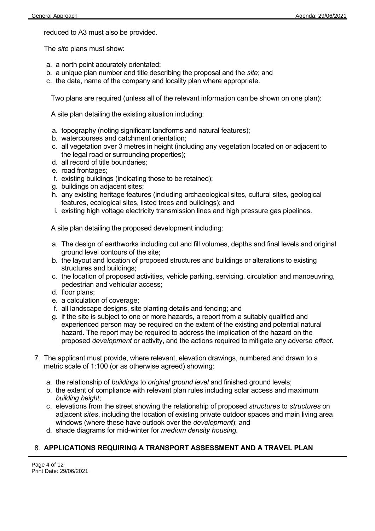reduced to A3 must also be provided.

The *site* plans must show:

- a. a north point accurately orientated;
- b. a unique plan number and title describing the proposal and the *site*; and
- c. the date, name of the company and locality plan where appropriate.

Two plans are required (unless all of the relevant information can be shown on one plan):

A site plan detailing the existing situation including:

- a. topography (noting significant landforms and natural features);
- b. watercourses and catchment orientation;
- c. all vegetation over 3 metres in height (including any vegetation located on or adjacent to the legal road or surrounding properties);
- d. all record of title boundaries;
- e. road frontages;
- f. existing buildings (indicating those to be retained);
- g. buildings on adjacent sites;
- h. any existing heritage features (including archaeological sites, cultural sites, geological features, ecological sites, listed trees and buildings); and
- i. existing high voltage electricity transmission lines and high pressure gas pipelines.

A site plan detailing the proposed development including:

- a. The design of earthworks including cut and fill volumes, depths and final levels and original ground level contours of the site;
- b. the layout and location of proposed structures and buildings or alterations to existing structures and buildings;
- c. the location of proposed activities, vehicle parking, servicing, circulation and manoeuvring, pedestrian and vehicular access;
- d. floor plans;
- e. a calculation of coverage;
- f. all landscape designs, site planting details and fencing; and
- g. if the site is subject to one or more hazards, a report from a suitably qualified and experienced person may be required on the extent of the existing and potential natural hazard. The report may be required to address the implication of the hazard on the proposed *development* or activity, and the actions required to mitigate any adverse *effect*.
- 7. The applicant must provide, where relevant, elevation drawings, numbered and drawn to a metric scale of 1:100 (or as otherwise agreed) showing:
	- a. the relationship of *buildings* to *original ground level* and finished ground levels;
	- b. the extent of compliance with relevant plan rules including solar access and maximum *building height*;
	- c. elevations from the street showing the relationship of proposed *structures* to *structures* on adjacent *sites*, including the location of existing private outdoor spaces and main living area windows (where these have outlook over the *development*); and
	- d. shade diagrams for mid-winter for *medium density housing.*

# 8. **APPLICATIONS REQUIRING A TRANSPORT ASSESSMENT AND A TRAVEL PLAN**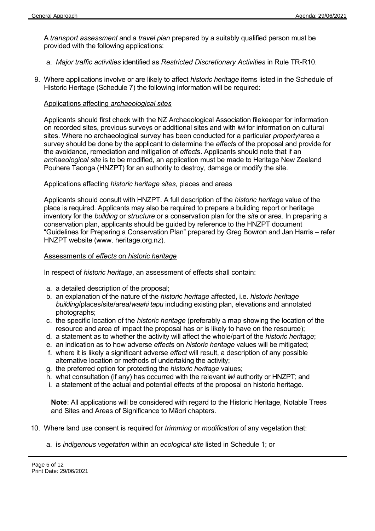A *transport assessment* and a *travel plan* prepared by a suitably qualified person must be provided with the following applications:

- a. *Major traffic activities* identified as *Restricted Discretionary Activities* in Rule TR-R10.
- 9. Where applications involve or are likely to affect *historic heritage* items listed in the Schedule of Historic Heritage (Schedule 7) the following information will be required:

#### Applications affecting *archaeological sites*

Applicants should first check with the NZ Archaeological Association filekeeper for information on recorded sites, previous surveys or additional sites and with *iwi* for information on cultural sites. Where no archaeological survey has been conducted for a particular *property*/area a survey should be done by the applicant to determine the *effect*s of the proposal and provide for the avoidance, remediation and mitigation of *effect*s. Applicants should note that if an *archaeological site* is to be modified, an application must be made to Heritage New Zealand Pouhere Taonga (HNZPT) for an authority to destroy, damage or modify the site.

#### Applications affecting *historic heritage sites,* places and areas

Applicants should consult with HNZPT. A full description of the *historic heritage* value of the place is required. Applicants may also be required to prepare a building report or heritage inventory for the *building* or *structure* or a conservation plan for the *site* or area. In preparing a conservation plan, applicants should be guided by reference to the HNZPT document "Guidelines for Preparing a Conservation Plan" prepared by Greg Bowron and Jan Harris – refer HNZPT website (www. heritage.org.nz).

#### Assessments of *effects* on *historic heritage*

In respect of *historic heritage*, an assessment of effects shall contain:

- a. a detailed description of the proposal;
- b. an explanation of the nature of the *historic heritage* affected, i.e. *historic heritage building*/places/site/area/*waahi tapu* including existing plan, elevations and annotated photographs;
- c. the specific location of the *historic heritage* (preferably a map showing the location of the resource and area of impact the proposal has or is likely to have on the resource);
- d. a statement as to whether the activity will affect the whole/part of the *historic heritage*;
- e. an indication as to how adverse *effect*s on *historic heritage* values will be mitigated;
- f. where it is likely a significant adverse *effect* will result, a description of any possible alternative location or methods of undertaking the activity;
- g. the preferred option for protecting the *historic heritage* values;
- h. what consultation (if any) has occurred with the relevant *iwi* authority or HNZPT; and
- i. a statement of the actual and potential effects of the proposal on historic heritage.

**Note**: All applications will be considered with regard to the Historic Heritage, Notable Trees and Sites and Areas of Significance to Māori chapters.

- 10. Where land use consent is required for *trimming* or *modification* of any vegetation that:
	- a. is *indigenous vegetation* within an *ecological site* listed in Schedule 1; or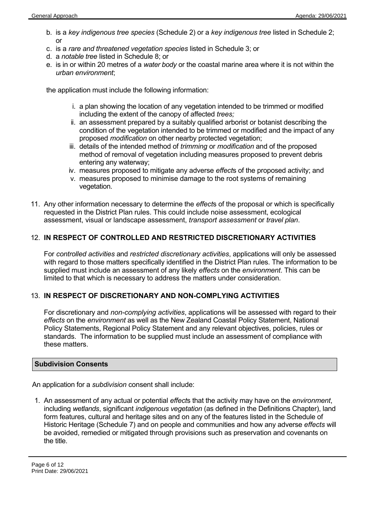- b. is a *key indigenous tree species* (Schedule 2) or a *key indigenous tree* listed in Schedule 2; or
- c. is a *rare and threatened vegetation species* listed in Schedule 3; or
- d. a *notable tree* listed in Schedule 8; or
- e. is in or within 20 metres of a *water body* or the coastal marine area where it is not within the *urban environment*;

the application must include the following information:

- i. a plan showing the location of any vegetation intended to be trimmed or modified including the extent of the canopy of affected *trees;*
- ii. an assessment prepared by a suitably qualified arborist or botanist describing the condition of the vegetation intended to be trimmed or modified and the impact of any proposed *modification* on other nearby protected vegetation;
- iii. details of the intended method of *trimming* or *modification* and of the proposed method of removal of vegetation including measures proposed to prevent debris entering any waterway;
- iv. measures proposed to mitigate any adverse *effect*s of the proposed activity; and
- v. measures proposed to minimise damage to the root systems of remaining vegetation.
- 11. Any other information necessary to determine the *effect*s of the proposal or which is specifically requested in the District Plan rules. This could include noise assessment, ecological assessment, visual or landscape assessment, *transport assessment* or *travel plan*.

## 12. **IN RESPECT OF CONTROLLED AND RESTRICTED DISCRETIONARY ACTIVITIES**

For *controlled activities* and *restricted discretionary activities*, applications will only be assessed with regard to those matters specifically identified in the District Plan rules. The information to be supplied must include an assessment of any likely *effects* on the *environment*. This can be limited to that which is necessary to address the matters under consideration.

## 13. **IN RESPECT OF DISCRETIONARY AND NON-COMPLYING ACTIVITIES**

For discretionary and *non-complying activities*, applications will be assessed with regard to their *effects* on the *environment* as well as the New Zealand Coastal Policy Statement, National Policy Statements, Regional Policy Statement and any relevant objectives, policies, rules or standards. The information to be supplied must include an assessment of compliance with these matters.

## **Subdivision Consents**

An application for a *subdivision* consent shall include:

1. An assessment of any actual or potential *effect*s that the activity may have on the *environment*, including *wetlands*, significant *indigenous vegetation* (as defined in the Definitions Chapter), land form features, cultural and heritage sites and on any of the features listed in the Schedule of Historic Heritage (Schedule 7) and on people and communities and how any adverse *effects* will be avoided, remedied or mitigated through provisions such as preservation and covenants on the title.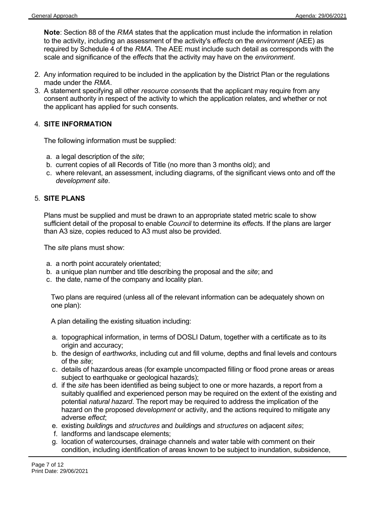**Note**: Section 88 of the *RMA* states that the application must include the information in relation to the activity, including an assessment of the activity's *effects* on the *environment* (AEE) as required by Schedule 4 of the *RMA*. The AEE must include such detail as corresponds with the scale and significance of the *effect*s that the activity may have on the *environment*.

- 2. Any information required to be included in the application by the District Plan or the regulations made under the *RMA*.
- 3. A statement specifying all other *resource consent*s that the applicant may require from any consent authority in respect of the activity to which the application relates, and whether or not the applicant has applied for such consents.

#### 4. **SITE INFORMATION**

The following information must be supplied:

- a. a legal description of the *site*;
- b. current copies of all Records of Title (no more than 3 months old); and
- c. where relevant, an assessment, including diagrams, of the significant views onto and off the *development site*.

#### 5. **SITE PLANS**

Plans must be supplied and must be drawn to an appropriate stated metric scale to show sufficient detail of the proposal to enable *Council* to determine its *effect*s. If the plans are larger than A3 size, copies reduced to A3 must also be provided.

The *site* plans must show:

- a. a north point accurately orientated;
- b. a unique plan number and title describing the proposal and the *site*; and
- c. the date, name of the company and locality plan.

Two plans are required (unless all of the relevant information can be adequately shown on one plan):

A plan detailing the existing situation including:

- a. topographical information, in terms of DOSLI Datum, together with a certificate as to its origin and accuracy;
- b. the design of *earthworks*, including cut and fill volume, depths and final levels and contours of the *site*;
- c. details of hazardous areas (for example uncompacted filling or flood prone areas or areas subject to earthquake or geological hazards);
- d. if the *site* has been identified as being subject to one or more hazards, a report from a suitably qualified and experienced person may be required on the extent of the existing and potential *natural hazard*. The report may be required to address the implication of the hazard on the proposed *development* or activity, and the actions required to mitigate any adverse *effect*;
- e. existing *building*s and *structures* and *building*s and *structures* on adjacent *sites*;
- f. landforms and landscape elements;
- g. location of watercourses, drainage channels and water table with comment on their condition, including identification of areas known to be subject to inundation, subsidence,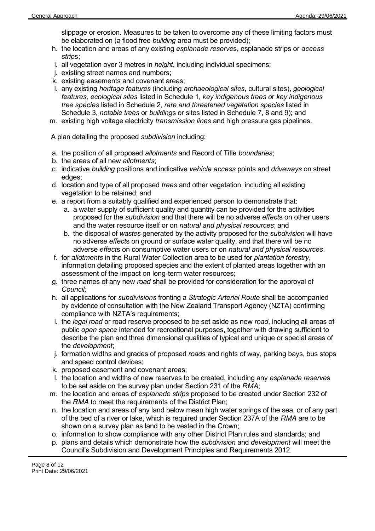slippage or erosion. Measures to be taken to overcome any of these limiting factors must be elaborated on (a flood free *building* area must be provided);

- h. the location and areas of any existing *esplanade reserve*s, esplanade strips or *access strip*s;
- i. all vegetation over 3 metres in *height*, including individual specimens;
- j. existing street names and numbers;
- k. existing easements and covenant areas;
- l. any existing *heritage features* (including *archaeological sites*, cultural sites), *geological features, ecological sites* listed in Schedule 1, *key indigenous trees o*r *key indigenous tree species* listed in Schedule 2*, rare and threatened vegetation species* listed in Schedule 3, *notable trees* or *building*s or sites listed in Schedule 7, 8 and 9); and
- m. existing high voltage electricity *transmission lines* and high pressure gas pipelines.

A plan detailing the proposed *subdivision* including:

- a. the position of all proposed *allotments* and Record of Title *boundaries*;
- b. the areas of all new *allotments*;
- c. indicative *building* positions and indicative *vehicle access* points and *driveways* on street edges;
- d. location and type of all proposed *trees* and other vegetation, including all existing vegetation to be retained; and
- e. a report from a suitably qualified and experienced person to demonstrate that:
	- a. a water supply of sufficient quality and quantity can be provided for the activities proposed for the *subdivision* and that there will be no adverse *effect*s on other users and the water resource itself or on *natural and physical resources*; and
	- b. the disposal of *wastes* generated by the activity proposed for the *subdivision* will have no adverse *effect*s on ground or surface water quality, and that there will be no adverse *effect*s on consumptive water users or on *natural and physical resources*.
- f. for *allotments* in the Rural Water Collection area to be used for *plantation forestry*, information detailing proposed species and the extent of planted areas together with an assessment of the impact on long-term water resources;
- g. three names of any new *road* shall be provided for consideration for the approval of *Council;*
- h. all applications for *subdivisions* fronting a *Strategic Arterial Route* shall be accompanied by evidence of consultation with the New Zealand Transport Agency (NZTA) confirming compliance with NZTA's requirements;
- i. the *legal road* or road reserve proposed to be set aside as new *road*, including all areas of public *open space* intended for recreational purposes, together with drawing sufficient to describe the plan and three dimensional qualities of typical and unique or special areas of the *development*;
- j. formation widths and grades of proposed *road*s and rights of way, parking bays, bus stops and speed control devices;
- k. proposed easement and covenant areas;
- l. the location and widths of new reserves to be created, including any *esplanade reserve*s to be set aside on the survey plan under Section 231 of the *RMA*;
- m. the location and areas of *esplanade strips* proposed to be created under Section 232 of the *RMA* to meet the requirements of the District Plan;
- n. the location and areas of any land below mean high water springs of the sea, or of any part of the bed of a river or lake, which is required under Section 237A of the *RMA* are to be shown on a survey plan as land to be vested in the Crown;
- o. information to show compliance with any other District Plan rules and standards; and
- p. plans and details which demonstrate how the *subdivision* and *development* will meet the Council's Subdivision and Development Principles and Requirements 2012.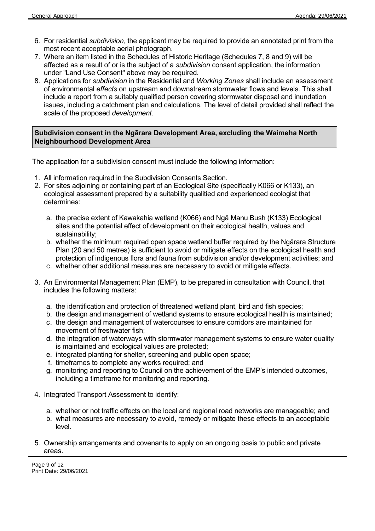- 6. For residential *subdivision*, the applicant may be required to provide an annotated print from the most recent acceptable aerial photograph.
- 7. Where an item listed in the Schedules of Historic Heritage (Schedules 7, 8 and 9) will be affected as a result of or is the subject of a *subdivision* consent application, the information under "Land Use Consent" above may be required.
- 8. Applications for *subdivision* in the Residential and *Working Zones* shall include an assessment of environmental *effects* on upstream and downstream stormwater flows and levels. This shall include a report from a suitably qualified person covering stormwater disposal and inundation issues, including a catchment plan and calculations. The level of detail provided shall reflect the scale of the proposed *development*.

# **Subdivision consent in the Ngārara Development Area, excluding the Waimeha North Neighbourhood Development Area**

The application for a subdivision consent must include the following information:

- 1. All information required in the Subdivision Consents Section.
- 2. For sites adjoining or containing part of an Ecological Site (specifically K066 or K133), an ecological assessment prepared by a suitability qualitied and experienced ecologist that determines:
	- a. the precise extent of Kawakahia wetland (K066) and Ngā Manu Bush (K133) Ecological sites and the potential effect of development on their ecological health, values and sustainability;
	- b. whether the minimum required open space wetland buffer required by the Ngārara Structure Plan (20 and 50 metres) is sufficient to avoid or mitigate effects on the ecological health and protection of indigenous flora and fauna from subdivision and/or development activities; and
	- c. whether other additional measures are necessary to avoid or mitigate effects.
- 3. An Environmental Management Plan (EMP), to be prepared in consultation with Council, that includes the following matters:
	- a. the identification and protection of threatened wetland plant, bird and fish species;
	- b. the design and management of wetland systems to ensure ecological health is maintained;
	- c. the design and management of watercourses to ensure corridors are maintained for movement of freshwater fish;
	- d. the integration of waterways with stormwater management systems to ensure water quality is maintained and ecological values are protected;
	- e. integrated planting for shelter, screening and public open space;
	- f. timeframes to complete any works required; and
	- g. monitoring and reporting to Council on the achievement of the EMP's intended outcomes, including a timeframe for monitoring and reporting.
- 4. Integrated Transport Assessment to identify:
	- a. whether or not traffic effects on the local and regional road networks are manageable; and
	- b. what measures are necessary to avoid, remedy or mitigate these effects to an acceptable level.
- 5. Ownership arrangements and covenants to apply on an ongoing basis to public and private areas.

Page 9 of 12 Print Date: 29/06/2021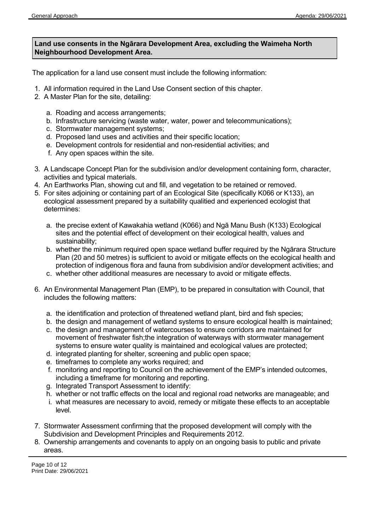# **Land use consents in the Ngārara Development Area, excluding the Waimeha North Neighbourhood Development Area.**

The application for a land use consent must include the following information:

- 1. All information required in the Land Use Consent section of this chapter.
- 2. A Master Plan for the site, detailing:
	- a. Roading and access arrangements;
	- b. Infrastructure servicing (waste water, water, power and telecommunications);
	- c. Stormwater management systems;
	- d. Proposed land uses and activities and their specific location;
	- e. Development controls for residential and non-residential activities; and
	- f. Any open spaces within the site.
- 3. A Landscape Concept Plan for the subdivision and/or development containing form, character, activities and typical materials.
- 4. An Earthworks Plan, showing cut and fill, and vegetation to be retained or removed.
- 5. For sites adjoining or containing part of an Ecological Site (specifically K066 or K133), an ecological assessment prepared by a suitability qualitied and experienced ecologist that determines:
	- a. the precise extent of Kawakahia wetland (K066) and Ngā Manu Bush (K133) Ecological sites and the potential effect of development on their ecological health, values and sustainability;
	- b. whether the minimum required open space wetland buffer required by the Ngārara Structure Plan (20 and 50 metres) is sufficient to avoid or mitigate effects on the ecological health and protection of indigenous flora and fauna from subdivision and/or development activities; and
	- c. whether other additional measures are necessary to avoid or mitigate effects.
- 6. An Environmental Management Plan (EMP), to be prepared in consultation with Council, that includes the following matters:
	- a. the identification and protection of threatened wetland plant, bird and fish species;
	- b. the design and management of wetland systems to ensure ecological health is maintained; c. the design and management of watercourses to ensure corridors are maintained for
	- movement of freshwater fish;the integration of waterways with stormwater management systems to ensure water quality is maintained and ecological values are protected;
	- d. integrated planting for shelter, screening and public open space;
	- e. timeframes to complete any works required; and
	- f. monitoring and reporting to Council on the achievement of the EMP's intended outcomes, including a timeframe for monitoring and reporting.
	- g. Integrated Transport Assessment to identify:
	- h. whether or not traffic effects on the local and regional road networks are manageable; and
	- i. what measures are necessary to avoid, remedy or mitigate these effects to an acceptable level.
- 7. Stormwater Assessment confirming that the proposed development will comply with the Subdivision and Development Principles and Requirements 2012.
- 8. Ownership arrangements and covenants to apply on an ongoing basis to public and private areas.

Page 10 of 12 Print Date: 29/06/2021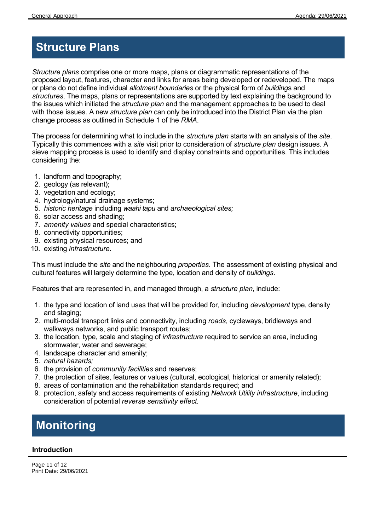# **Structure Plans**

*Structure plans* comprise one or more maps, plans or diagrammatic representations of the proposed layout, features, character and links for areas being developed or redeveloped. The maps or plans do not define individual *allotment boundaries* or the physical form of *building*s and *structures*. The maps, plans or representations are supported by text explaining the background to the issues which initiated the *structure plan* and the management approaches to be used to deal with those issues. A new *structure plan* can only be introduced into the District Plan via the plan change process as outlined in Schedule 1 of the *RMA*.

The process for determining what to include in the *structure plan* starts with an analysis of the *site*. Typically this commences with a *site* visit prior to consideration of *structure plan* design issues. A sieve mapping process is used to identify and display constraints and opportunities. This includes considering the:

- 1. landform and topography;
- 2. geology (as relevant);
- 3. vegetation and ecology;
- 4. hydrology/natural drainage systems;
- 5. *historic heritage* including *waahi tapu* and *archaeological sites;*
- 6. solar access and shading;
- 7. *amenity values* and special characteristics;
- 8. connectivity opportunities;
- 9. existing physical resources; and
- 10. existing *infrastructure*.

This must include the *site* and the neighbouring *properties*. The assessment of existing physical and cultural features will largely determine the type, location and density of *buildings*.

Features that are represented in, and managed through, a *structure plan*, include:

- 1. the type and location of land uses that will be provided for, including *development* type, density and staging;
- 2. multi-modal transport links and connectivity, including *roads*, cycleways, bridleways and walkways networks, and public transport routes;
- 3. the location, type, scale and staging of *infrastructure* required to service an area, including stormwater, water and sewerage;
- 4. landscape character and amenity;
- 5. *natural hazards;*
- 6. the provision of *community facilities* and reserves;
- 7. the protection of sites, features or values (cultural, ecological, historical or amenity related);
- 8. areas of contamination and the rehabilitation standards required; and
- 9. protection, safety and access requirements of existing *Network Utility infrastructure*, including consideration of potential *reverse sensitivity effect.*

# **Monitoring**

## **Introduction**

Page 11 of 12 Print Date: 29/06/2021